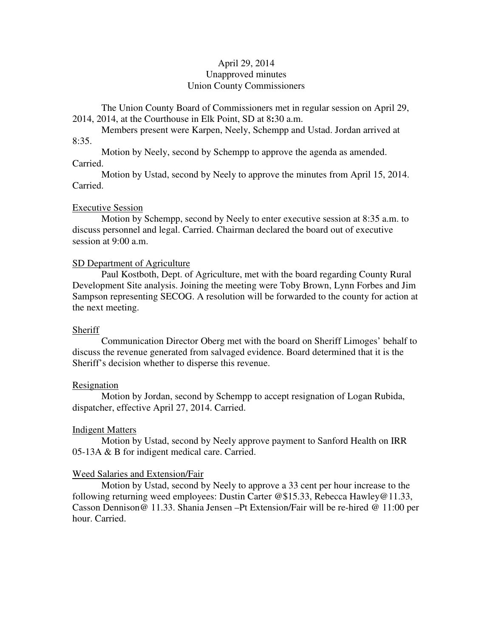# April 29, 2014 Unapproved minutes Union County Commissioners

The Union County Board of Commissioners met in regular session on April 29, 2014, 2014, at the Courthouse in Elk Point, SD at 8**:**30 a.m.

 Members present were Karpen, Neely, Schempp and Ustad. Jordan arrived at 8:35.

 Motion by Neely, second by Schempp to approve the agenda as amended. Carried.

 Motion by Ustad, second by Neely to approve the minutes from April 15, 2014. Carried.

## Executive Session

 Motion by Schempp, second by Neely to enter executive session at 8:35 a.m. to discuss personnel and legal. Carried. Chairman declared the board out of executive session at 9:00 a.m.

## SD Department of Agriculture

 Paul Kostboth, Dept. of Agriculture, met with the board regarding County Rural Development Site analysis. Joining the meeting were Toby Brown, Lynn Forbes and Jim Sampson representing SECOG. A resolution will be forwarded to the county for action at the next meeting.

## **Sheriff**

 Communication Director Oberg met with the board on Sheriff Limoges' behalf to discuss the revenue generated from salvaged evidence. Board determined that it is the Sheriff's decision whether to disperse this revenue.

### Resignation

 Motion by Jordan, second by Schempp to accept resignation of Logan Rubida, dispatcher, effective April 27, 2014. Carried.

## Indigent Matters

 Motion by Ustad, second by Neely approve payment to Sanford Health on IRR 05-13A & B for indigent medical care. Carried.

## Weed Salaries and Extension/Fair

 Motion by Ustad, second by Neely to approve a 33 cent per hour increase to the following returning weed employees: Dustin Carter @\$15.33, Rebecca Hawley@11.33, Casson Dennison@ 11.33. Shania Jensen –Pt Extension/Fair will be re-hired @ 11:00 per hour. Carried.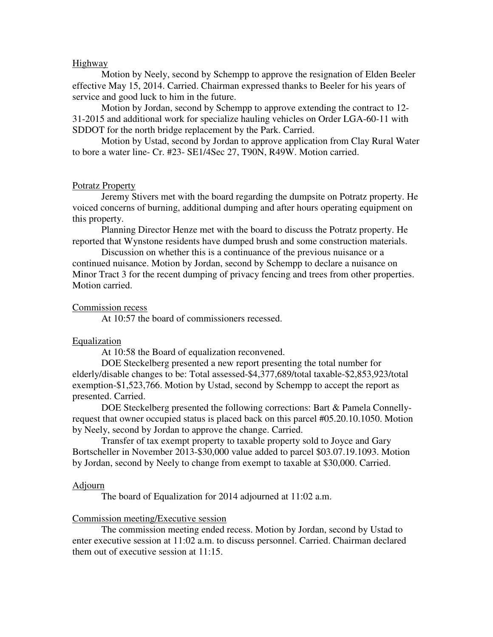# Highway

 Motion by Neely, second by Schempp to approve the resignation of Elden Beeler effective May 15, 2014. Carried. Chairman expressed thanks to Beeler for his years of service and good luck to him in the future.

 Motion by Jordan, second by Schempp to approve extending the contract to 12- 31-2015 and additional work for specialize hauling vehicles on Order LGA-60-11 with SDDOT for the north bridge replacement by the Park. Carried.

 Motion by Ustad, second by Jordan to approve application from Clay Rural Water to bore a water line- Cr. #23- SE1/4Sec 27, T90N, R49W. Motion carried.

### Potratz Property

 Jeremy Stivers met with the board regarding the dumpsite on Potratz property. He voiced concerns of burning, additional dumping and after hours operating equipment on this property.

 Planning Director Henze met with the board to discuss the Potratz property. He reported that Wynstone residents have dumped brush and some construction materials.

 Discussion on whether this is a continuance of the previous nuisance or a continued nuisance. Motion by Jordan, second by Schempp to declare a nuisance on Minor Tract 3 for the recent dumping of privacy fencing and trees from other properties. Motion carried.

#### Commission recess

At 10:57 the board of commissioners recessed.

## Equalization

At 10:58 the Board of equalization reconvened.

 DOE Steckelberg presented a new report presenting the total number for elderly/disable changes to be: Total assessed-\$4,377,689/total taxable-\$2,853,923/total exemption-\$1,523,766. Motion by Ustad, second by Schempp to accept the report as presented. Carried.

 DOE Steckelberg presented the following corrections: Bart & Pamela Connellyrequest that owner occupied status is placed back on this parcel #05.20.10.1050. Motion by Neely, second by Jordan to approve the change. Carried.

 Transfer of tax exempt property to taxable property sold to Joyce and Gary Bortscheller in November 2013-\$30,000 value added to parcel \$03.07.19.1093. Motion by Jordan, second by Neely to change from exempt to taxable at \$30,000. Carried.

#### Adjourn

The board of Equalization for 2014 adjourned at 11:02 a.m.

### Commission meeting/Executive session

 The commission meeting ended recess. Motion by Jordan, second by Ustad to enter executive session at 11:02 a.m. to discuss personnel. Carried. Chairman declared them out of executive session at 11:15.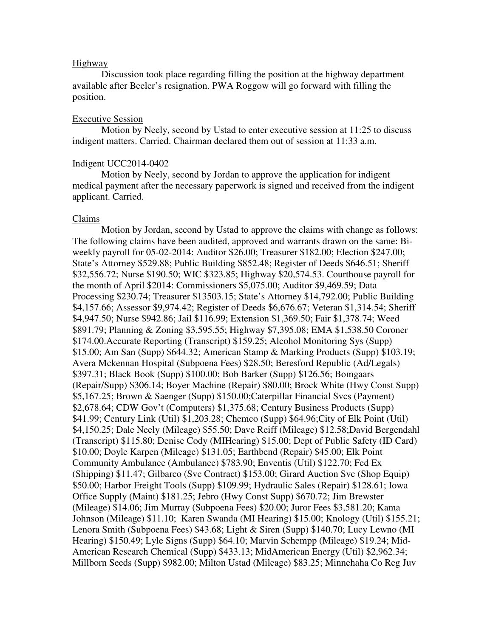# Highway

 Discussion took place regarding filling the position at the highway department available after Beeler's resignation. PWA Roggow will go forward with filling the position.

## Executive Session

Motion by Neely, second by Ustad to enter executive session at 11:25 to discuss indigent matters. Carried. Chairman declared them out of session at 11:33 a.m.

## Indigent UCC2014-0402

 Motion by Neely, second by Jordan to approve the application for indigent medical payment after the necessary paperwork is signed and received from the indigent applicant. Carried.

### Claims

 Motion by Jordan, second by Ustad to approve the claims with change as follows: The following claims have been audited, approved and warrants drawn on the same: Biweekly payroll for 05-02-2014: Auditor \$26.00; Treasurer \$182.00; Election \$247.00; State's Attorney \$529.88; Public Building \$852.48; Register of Deeds \$646.51; Sheriff \$32,556.72; Nurse \$190.50; WIC \$323.85; Highway \$20,574.53. Courthouse payroll for the month of April \$2014: Commissioners \$5,075.00; Auditor \$9,469.59; Data Processing \$230.74; Treasurer \$13503.15; State's Attorney \$14,792.00; Public Building \$4,157.66; Assessor \$9,974.42; Register of Deeds \$6,676.67; Veteran \$1,314.54; Sheriff \$4,947.50; Nurse \$942.86; Jail \$116.99; Extension \$1,369.50; Fair \$1,378.74; Weed \$891.79; Planning & Zoning \$3,595.55; Highway \$7,395.08; EMA \$1,538.50 Coroner \$174.00.Accurate Reporting (Transcript) \$159.25; Alcohol Monitoring Sys (Supp) \$15.00; Am San (Supp) \$644.32; American Stamp & Marking Products (Supp) \$103.19; Avera Mckennan Hospital (Subpoena Fees) \$28.50; Beresford Republic (Ad/Legals) \$397.31; Black Book (Supp) \$100.00; Bob Barker (Supp) \$126.56; Bomgaars (Repair/Supp) \$306.14; Boyer Machine (Repair) \$80.00; Brock White (Hwy Const Supp) \$5,167.25; Brown & Saenger (Supp) \$150.00;Caterpillar Financial Svcs (Payment) \$2,678.64; CDW Gov't (Computers) \$1,375.68; Century Business Products (Supp) \$41.99; Century Link (Util) \$1,203.28; Chemco (Supp) \$64.96;City of Elk Point (Util) \$4,150.25; Dale Neely (Mileage) \$55.50; Dave Reiff (Mileage) \$12.58;David Bergendahl (Transcript) \$115.80; Denise Cody (MIHearing) \$15.00; Dept of Public Safety (ID Card) \$10.00; Doyle Karpen (Mileage) \$131.05; Earthbend (Repair) \$45.00; Elk Point Community Ambulance (Ambulance) \$783.90; Enventis (Util) \$122.70; Fed Ex (Shipping) \$11.47; Gilbarco (Svc Contract) \$153.00; Girard Auction Svc (Shop Equip) \$50.00; Harbor Freight Tools (Supp) \$109.99; Hydraulic Sales (Repair) \$128.61; Iowa Office Supply (Maint) \$181.25; Jebro (Hwy Const Supp) \$670.72; Jim Brewster (Mileage) \$14.06; Jim Murray (Subpoena Fees) \$20.00; Juror Fees \$3,581.20; Kama Johnson (Mileage) \$11.10; Karen Swanda (MI Hearing) \$15.00; Knology (Util) \$155.21; Lenora Smith (Subpoena Fees) \$43.68; Light & Siren (Supp) \$140.70; Lucy Lewno (MI Hearing) \$150.49; Lyle Signs (Supp) \$64.10; Marvin Schempp (Mileage) \$19.24; Mid-American Research Chemical (Supp) \$433.13; MidAmerican Energy (Util) \$2,962.34; Millborn Seeds (Supp) \$982.00; Milton Ustad (Mileage) \$83.25; Minnehaha Co Reg Juv